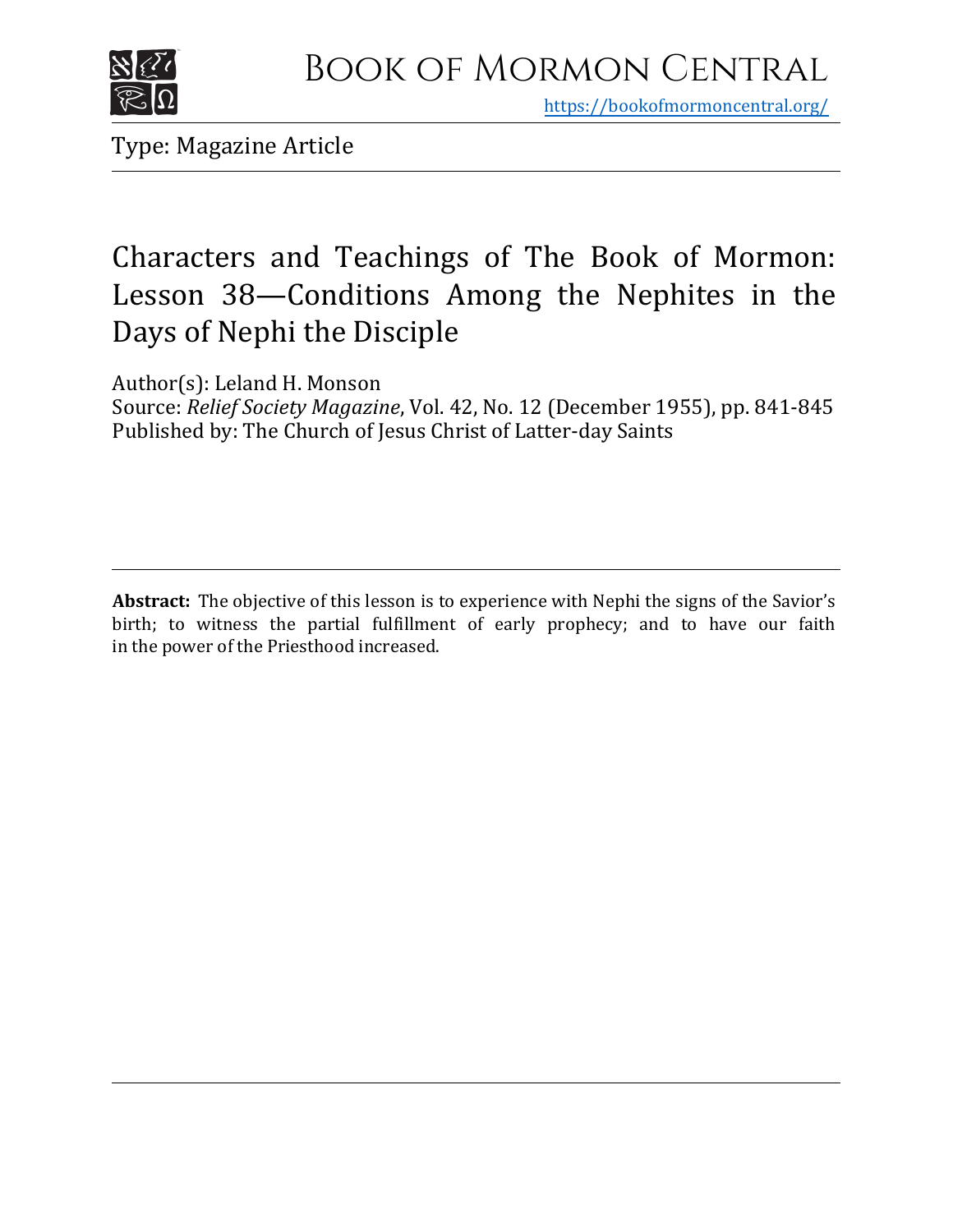

https[://bookofmormoncentral.org/](http://bookofmormoncentral.org/)

Type: Magazine Article

## Characters and Teachings of The Book of Mormon: Lesson 38—Conditions Among the Nephites in the Days of Nephi the Disciple

Author(s): Leland H. Monson

Source: *Relief Society Magazine*, Vol. 42, No. 12 (December 1955), pp. 841-845 Published by: The Church of Jesus Christ of Latter-day Saints

**Abstract:** The objective of this lesson is to experience with Nephi the signs of the Savior's birth; to witness the partial fulfillment of early prophecy; and to have our faith in the power of the Priesthood increased.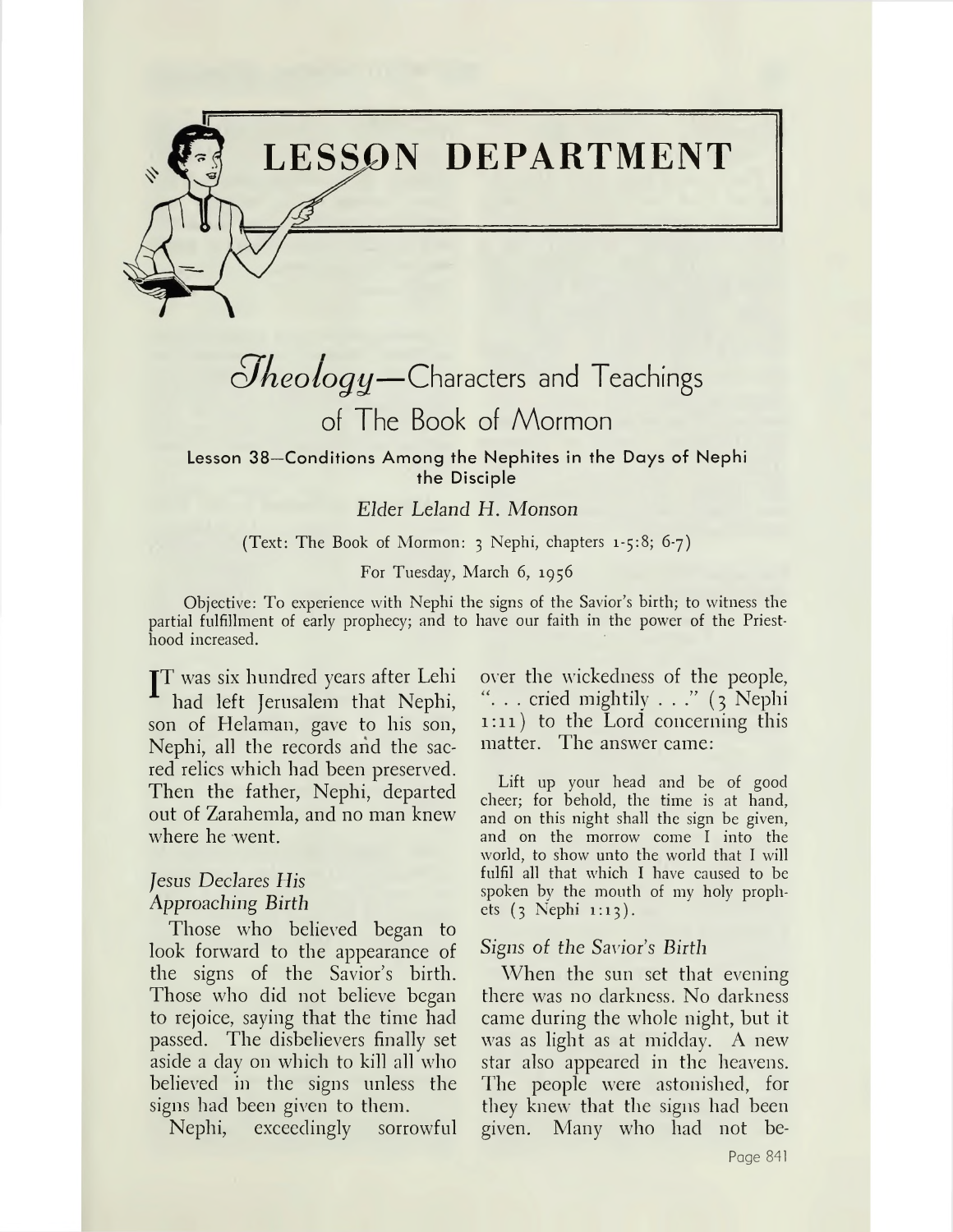

## $Q$ *heology*—Characters and Teachings of The Book of Mormon

Lesson 38—Conditions Among the Nephites in the Days of Nephi the Disciple

## *Elder Leland H. Monson*

#### (Text: The Book of Mormon: <sup>3</sup> Nephi, chapters 1-5:8; 6-7)

#### For Tuesday, March 6, 1956

Objective: To experience with Nephi the signs of the Savior's birth; to witness the partial fulfillment of early prophecy; and to have our faith in the power of the Priesthood increased.

JT was six hundred years after Lehi had left Jerusalem that Nephi, son of Helaman, gave to his son, Nephi, all the records and the sacred relics which had been preserved. Then the father, Nephi, departed out of Zarahemla, and no man knew where he went.

## *Jesus Declares His Approaching Birth*

Those who believed began to look forward to the appearance of the signs of the Savior'<sup>s</sup> birth. Those who did not believe began to rejoice, saying that the time had passed. The disbelievers finally set aside a day on which to kill all who believed in the signs unless the signs had been given to them.

Nephi, exceedingly sorrowful

over the wickedness of the people, . . cried mightily ..." (3 Nephi 1:11) to the Lord concerning this matter. The answer came:

Lift up your head and be of good cheer; for behold, the time is at hand, and on this night shall the sign be given, and on the morrow come I into the world, to show unto the world that I will fulfil all that which I have caused to be spoken by the mouth of my holy prophets (3 Nephi 1:13).

#### *Signs of the Savior's Birth*

When the sun set that evening there was no darkness. No darkness came during the whole night, but it was as light as at midday. A new star also appeared in the heavens. The people were astonished, for they knew that the signs had been given. Many who had not be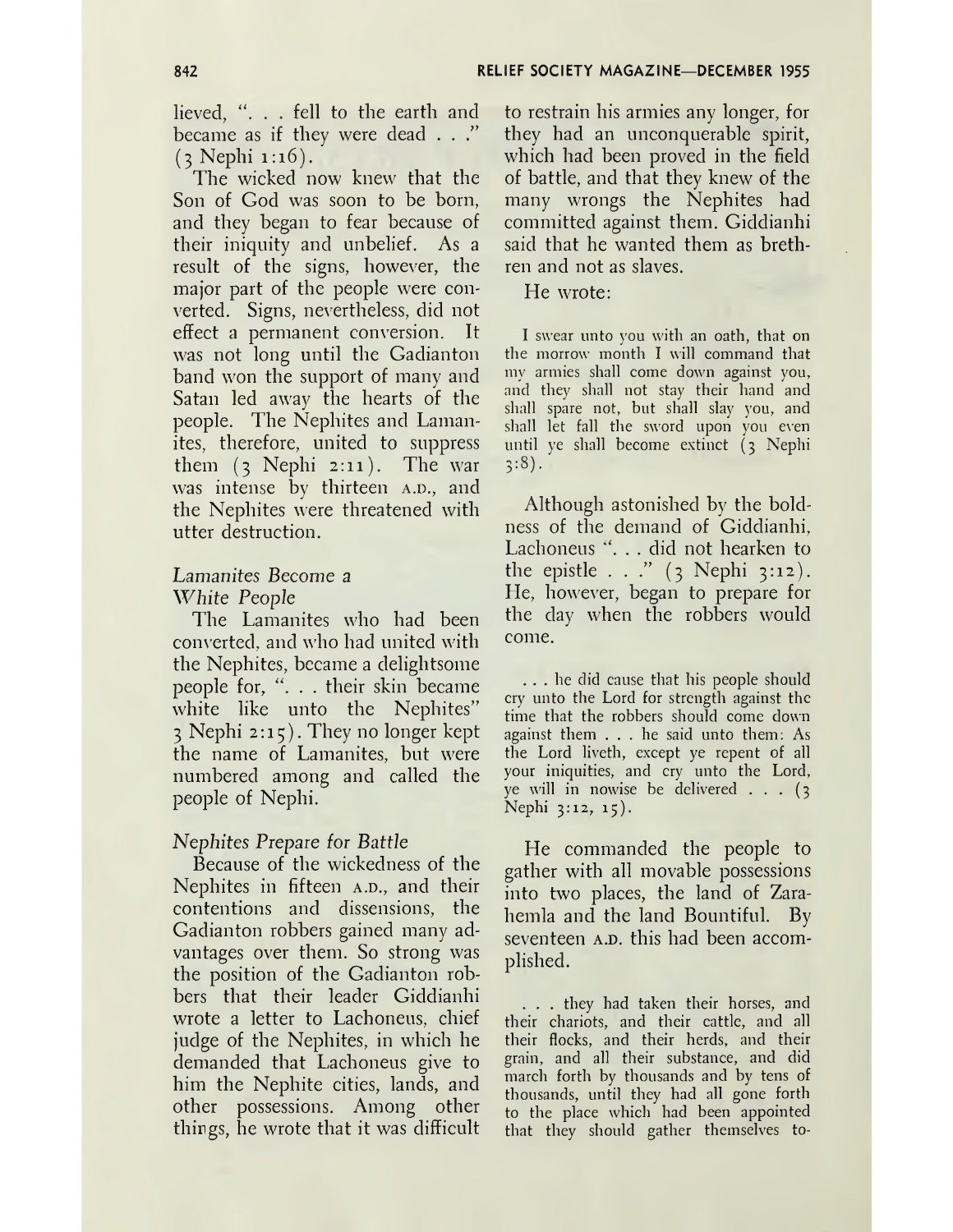lieved, ". . . fell to the earth and became as if they were dead . . ."  $(3 \text{Nephi } 1:16)$ .

The wicked now knew that the Son of God was soon to be born, and they began to fear because of their iniquity and unbelief. As a result of the signs, however, the major part of the people were converted. Signs, nevertheless, did not effect a permanent conversion. It was not long until the Gadianton band won the support of many and Satan led away the hearts of the people. The Nephites and Lamanites, therefore, united to suppress them (3 Nephi 2:11). The war was intense by thirteen A.D., and the Nephites were threatened with utter destruction.

## *Lamanites Become a White People*

The Lamanites who had been converted, and who had united with the Nephites, became a delightsome people for, ". . . their skin became white like unto the Nephites" <sup>3</sup> Nephi 2:15). They no longer kept the name of Lamanites, but were numbered among and called the people of Nephi.

## *Nephites Prepare for Battle*

Because of the wickedness of the Nephites in fifteen  $A.D.,$  and their contentions and dissensions, the Gadianton robbers gained many advantages over them. So strong was the position of the Gadianton robbers that their leader Giddianhi wrote a letter to Lachoneus, chief judge of the Nephites, in which he demanded that Lachoneus give to him the Nephite cities, lands, and other possessions. Among other things, he wrote that it was difficult

to restrain his armies any longer, for they had an unconquerable spirit, which had been proved in the field of battle, and that they knew of the many wrongs the Nephites had committed against them. Giddianhi said that he wanted them as brethren and not as slaves.

He wrote:

I swear unto you with an oath, that on the morrow month I will command that my armies shall come down against you, and they shall not stay their hand and shall spare not, but shall slay you, and shall let fall the sword upon you even until ye shall become extinct (3 Nephi  $3:8$ ).

Although astonished by the boldness of the demand of Giddianhi, Lachoneus ". . . did not hearken to the epistle ..." (3 Nephi 3:12). He, however, began to prepare for the day when the robbers would come.

... he did cause that his people should cry' unto the Lord for strength against the time that the robbers should come down against them ... he said unto them: As the Lord liveth, except ye repent of all your iniquities, and cry unto the Lord, ye will in nowise be delivered ... (3 Nephi 3:12, 15).

He commanded the people to gather with all movable possessions into two places, the land of Zarahemla and the land Bountiful. By seventeen A.D. this had been accomplished.

. . . they had taken their horses, and their chariots, and their cattle, and all their flocks, and their herds, and their grain, and all their substance, and did march forth by thousands and by tens of thousands, until they had all gone forth to the place which had been appointed that they should gather themselves to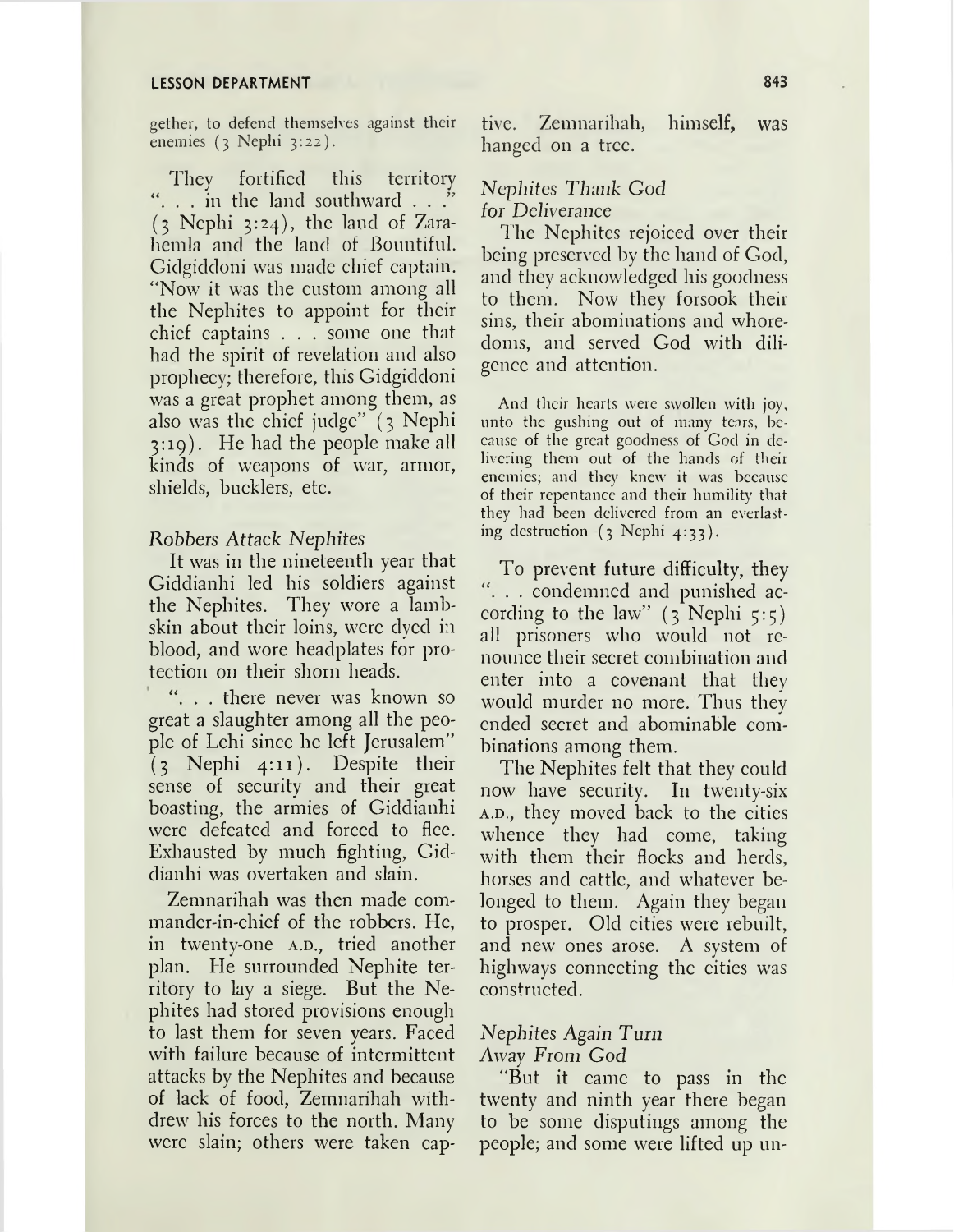#### **LESSON DEPARTMENT 843**

gether, to defend themselves against their enemies (3 Nephi 3:22).

They fortified this territory "... in the land southward ..." (3 Nephi 3:24), the land of Zarahcmla and the land of Bountiful. Gidgiddoni was made chief captain. "Now it was the custom among all the Nephites to appoint for their chief captains . . . some one that had the spirit of revelation and also prophecy; therefore, this Gidgiddoni was a great prophet among them, as also was the chief judge" (3 Nephi 3:19). He had the people make all kinds of weapons of war, armor, shields, bucklers, etc.

#### Robbers Attack *Nephites*

It was in the nineteenth year that Giddianhi led his soldiers against the Nephites. They wore a lambskin about their loins, were dyed in blood, and wore headplates for protection on their shorn heads.

. . there never was known so great a slaughter among all the people of Lehi since he left Jerusalem"  $(3)$  Nephi 4:11). Despite their sense of security and their great boasting, the armies of Giddianhi were defeated and forced to flee. Exhausted by much fighting, Giddianhi was overtaken and slain.

Zemnarihah was then made commander-in-chief of the robbers. He, in twenty-one A.D., tried another plan. He surrounded Nephite territory to lay a siege. But the Nephites had stored provisions enough to last them for seven years. Faced with failure because of intermittent attacks by the Nephites and because of lack of food, Zemnarihah withdrew his forces to the north. Many were slain; others were taken captive. Zemnarihah, himself, was hanged on a tree.

### *Nephites Thank God for Deliverance*

The Nephites rejoiced over their being preserved by the hand of God, and they acknowledged his goodness to them. Now they forsook their sins, their abominations and whoredoms, and served God with diligence and attention.

And their hearts were swollen with joy, unto the gushing out of many tears, because of the great goodness of God in delivering them out of the hands of their enemies; and they knew it was because of their repentance and their humility that they had been delivered from an everlasting destruction  $(3 \text{ Nephi } 4:33)$ .

To prevent future difficulty, they "... condemned and punished according to the law"  $(3)$  Nephi  $5:5$ ) all prisoners who would not renounce their secret combination and enter into a covenant that they would murder no more. Thus they ended secret and abominable combinations among them.

The Nephites felt that they could now have security. In twenty-six A.D., they moved back to the cities whence they had come, taking with them their flocks and herds, horses and cattle, and whatever belonged to them. Again they began to prosper. Old cities were rebuilt, and new ones arose. A system of highways connecting the cities was constructed.

## *Nephites Again Turn*

*Away From God*

"But it came to pass in the twenty and ninth year there began to be some disputings among the people; and some were lifted up un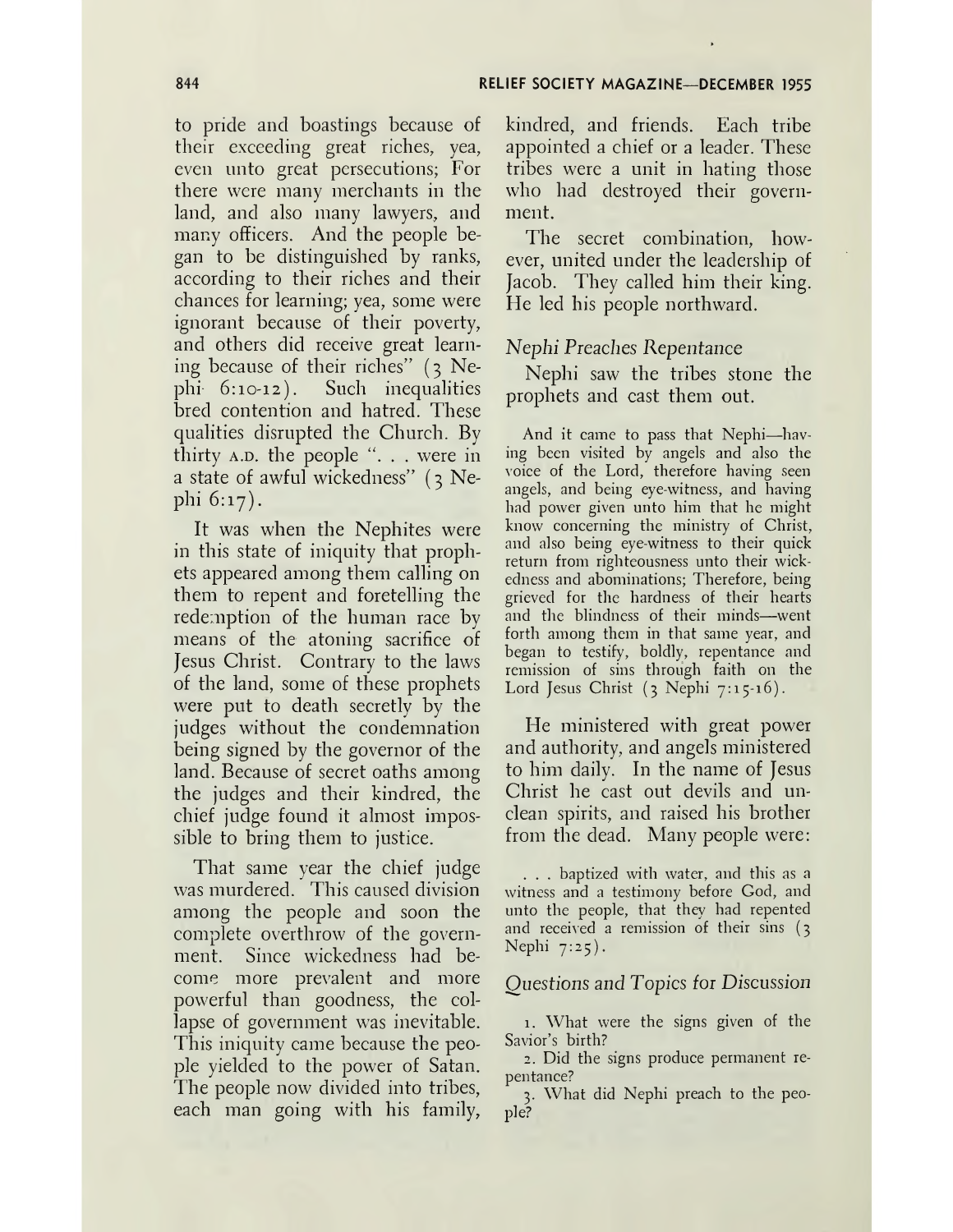to pride and boastings because of their exceeding great riches, yea, even unto great persecutions; For there were many merchants in the land, and also many lawyers, and many officers. And the people began to be distinguished by ranks, according to their riches and their chances for learning; yea, some were ignorant because of their poverty, and others did receive great learning because of their riches" (3 Nephi- 6:10-12). Such inequalities bred contention and hatred. These qualities disrupted the Church. By thirty A.D. the people ". . . were in a state of awful wickedness" (3 Nephi 6:17).

It was when the Nephites were in this state of iniquity that prophets appeared among them calling on them to repent and foretelling the redemption of the human race by means of the atoning sacrifice of Jesus Christ. Contrary to the laws of the land, some of these prophets were put to death secretly by the judges without the condemnation being signed by the governor of the land. Because of secret oaths among the judges and their kindred, the chief judge found it almost impossible to bring them to justice.

That same year the chief judge was murdered. This caused division among the people and soon the complete overthrow of the government. Since wickedness had become more prevalent and more powerful than goodness, the collapse of government was inevitable. This iniquity came because the people yielded to the power of Satan. The people now divided into tribes, each man going with his family,

kindred, and friends. Each tribe appointed a chief or a leader. These tribes were a unit in hating those who had destroyed their government.

The secret combination, however, united under the leadership of Jacob. They called him their king. He led his people northward.

## *Nephi Preaches Repentance*

Nephi saw the tribes stone the prophets and cast them out.

And it came to pass that Nephi—having been visited by angels and also the voice of the Lord, therefore having seen angels, and being eye-witness, and having had power given unto him that he might know concerning the ministry of Christ, and also being eye-witness to their quick return from righteousness unto their wickedness and abominations; Therefore, being grieved for the hardness of their hearts and the blindness of their minds—went forth among them in that same year, and began to testify, boldly, repentance and remission of sins through faith on the Lord Jesus Christ  $(3 \text{ Nephi } 7:15 \cdot 16)$ .

He ministered with great power and authority, and angels ministered to him daily. In the name of Jesus Christ he cast out devils and unclean spirits, and raised his brother from the dead. Many people were:

. . . baptized with water, and this as a witness and a testimony before God, and unto the people, that they had repented and received a remission of their sins (3 Nephi  $7:25$ ).

#### *Questions and Topics for Discussion*

1. What were the signs given of the Savior'<sup>s</sup> birth?

2. Did the signs produce permanent repentance?

3. What did Nephi preach to the people?